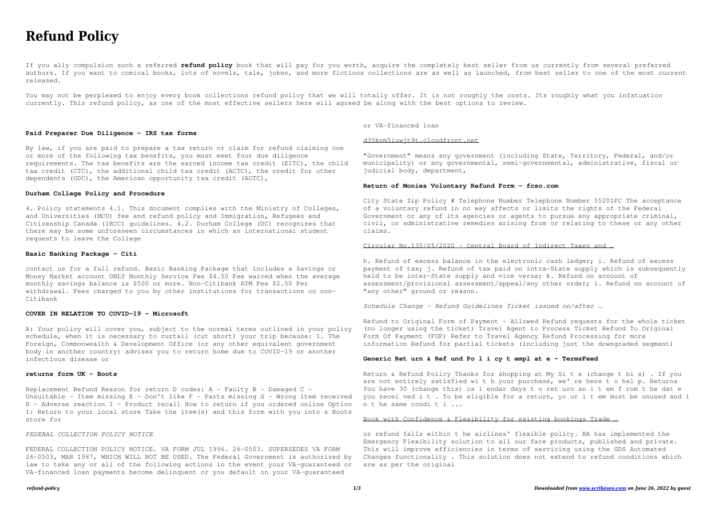# **Refund Policy**

If you ally compulsion such a referred **refund policy** book that will pay for you worth, acquire the completely best seller from us currently from several preferred authors. If you want to comical books, lots of novels, tale, jokes, and more fictions collections are as well as launched, from best seller to one of the most current released.

You may not be perplexed to enjoy every book collections refund policy that we will totally offer. It is not roughly the costs. Its roughly what you infatuation currently. This refund policy, as one of the most effective sellers here will agreed be along with the best options to review.

# **Paid Preparer Due Diligence - IRS tax forms**

By law, if you are paid to prepare a tax return or claim for refund claiming one or more of the following tax benefits, you must meet four due diligence requirements. The tax benefits are the earned income tax credit (EITC), the child tax credit (CTC), the additional child tax credit (ACTC), the credit for other dependents (ODC), the American opportunity tax credit (AOTC),

#### **Durham College Policy and Procedure**

4. Policy statements 4.1. This document complies with the Ministry of Colleges, and Universities (MCU) fee and refund policy and Immigration, Refugees and Citizenship Canada (IRCC) guidelines. 4.2. Durham College (DC) recognizes that there may be some unforeseen circumstances in which an international student requests to leave the College

#### **Basic Banking Package - Citi**

contact us for a full refund. Basic Banking Package that includes a Savings or Money Market account ONLY Monthly Service Fee \$4.50 Fee waived when the average monthly savings balance is \$500 or more. Non-Citibank ATM Fee \$2.50 Per withdrawal. Fees charged to you by other institutions for transactions on non-Citibank

h. Refund of excess balance in the electronic cash ledger; i. Refund of excess payment of tax; j. Refund of tax paid on intra-State supply which is subsequently held to be inter-State supply and vice versa; k. Refund on account of assessment/provisional assessment/appeal/any other order; l. Refund on account of "any other" ground or reason.

### **COVER IN RELATION TO COVID-19 - Microsoft**

A: Your policy will cover you, subject to the normal terms outlined in your policy schedule, when it is necessary to curtail (cut short) your trip because: 1. The Foreign, Commonwealth & Development Office (or any other equivalent government body in another country) advises you to return home due to COVID-19 or another infectious disease or

#### **returns form UK - Boots**

Replacement Refund Reason for return D codes: A - Faulty B - Damaged C - Unsuitable - Item missing E - Don't like F - Parts missing G - Wrong item received H - Adverse reaction I - Product recall How to return if you ordered online Option 1: Return to your local store Take the item(s) and this form with you into a Boots store for

### *FEDERAL COLLECTION POLICY NOTICE*

FEDERAL COLLECTION POLICY NOTICE. VA FORM JUL 1996. 26-0503. SUPERSEDES VA FORM 26-0503, MAR 1987, WHICH WILL NOT BE USED. The Federal Government is authorized by law to take any or all of the following actions in the event your VA-guaranteed or VA-financed loan payments become delinquent or you default on your VA-guaranteed

or VA-financed loan

#### d35kvm5iuwjt9t.cloudfront.net

"Government" means any government (including State, Territory, Federal, and/or municipality) or any governmental, semi-governmental, administrative, fiscal or judicial body, department,

# **Return of Monies Voluntary Refund Form - fcso.com**

City State Zip Policy # Telephone Number Telephone Number 55201FC The acceptance of a voluntary refund in no way affects or limits the rights of the Federal Government or any of its agencies or agents to pursue any appropriate criminal, civil, or administrative remedies arising from or relating to these or any other claims.

#### Circular No.135/05/2020 - Central Board of Indirect Taxes and …

*Schedule Change - Refund Guidelines Ticket issued on/after …*

Refund to Original Form of Payment – Allowed Refund requests for the whole ticket (no longer using the ticket) Travel Agent to Process Ticket Refund To Original Form Of Payment (FOP) Refer to Travel Agency Refund Processing for more information Refund for partial tickets (including just the downgraded segment)

#### **Generic Ret urn & Ref und Po l i cy t empl at e - TermsFeed**

Return & Refund Policy Thanks for shopping at My Si t e (change t hi s) . If you are not entirely satisfied wi t h your purchase, we' re here t o hel p. Returns You have 30 (change this) ca l endar days t o ret urn an i t em f rom t he dat e you recei ved i t . To be eligible for a return, yo ur i t em must be unused and i n t he same condi t i ...

# Book with Confidence & Flexibility for existing bookings Trade …

or refund falls within t he airlines' flexible policy. BA has implemented the Emergency Flexibility solution to all our fare products, published and private. This will improve efficiencies in terms of servicing using the GDS Automated Changes functionality . This solution does not extend to refund conditions which are as per the original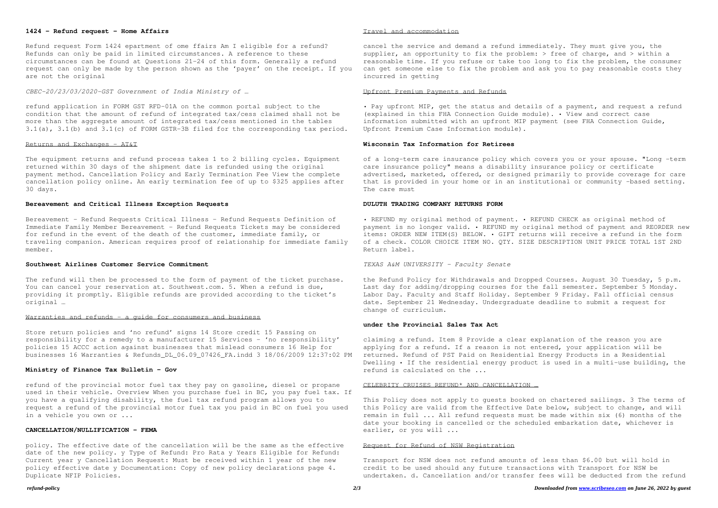# *refund-policy 2/3 Downloaded from [www.scribeseo.com](http://www.scribeseo.com) on June 26, 2022 by guest*

# **1424 - Refund request - Home Affairs**

Refund request Form 1424 epartment of ome ffairs Am I eligible for a refund? Refunds can only be paid in limited circumstances. A reference to these circumstances can be found at Questions 21–24 of this form. Generally a refund request can only be made by the person shown as the 'payer' on the receipt. If you are not the original

*CBEC-20/23/03/2020-GST Government of India Ministry of …*

refund application in FORM GST RFD-01A on the common portal subject to the condition that the amount of refund of integrated tax/cess claimed shall not be more than the aggregate amount of integrated tax/cess mentioned in the tables 3.1(a), 3.1(b) and 3.1(c) of FORM GSTR-3B filed for the corresponding tax period.

#### Returns and Exchanges - AT&T

The refund will then be processed to the form of payment of the ticket purchase. You can cancel your reservation at. Southwest.com. 5. When a refund is due, providing it promptly. Eligible refunds are provided according to the ticket's original …

#### Warranties and refunds - a guide for consumers and business

The equipment returns and refund process takes 1 to 2 billing cycles. Equipment returned within 30 days of the shipment date is refunded using the original payment method. Cancellation Policy and Early Termination Fee View the complete cancellation policy online. An early termination fee of up to \$325 applies after 30 days.

#### **Bereavement and Critical Illness Exception Requests**

Bereavement - Refund Requests Critical Illness – Refund Requests Definition of Immediate Family Member Bereavement - Refund Requests Tickets may be considered for refund in the event of the death of the customer, immediate family, or traveling companion. American requires proof of relationship for immediate family member.

#### **Southwest Airlines Customer Service Commitment**

Store return policies and 'no refund' signs 14 Store credit 15 Passing on responsibility for a remedy to a manufacturer 15 Services – 'no responsibility' policies 15 ACCC action against businesses that mislead consumers 16 Help for businesses 16 Warranties & Refunds\_DL\_06.09\_07426\_FA.indd 3 18/06/2009 12:37:02 PM

#### **Ministry of Finance Tax Bulletin - Gov**

refund of the provincial motor fuel tax they pay on gasoline, diesel or propane used in their vehicle. Overview When you purchase fuel in BC, you pay fuel tax. If you have a qualifying disability, the fuel tax refund program allows you to request a refund of the provincial motor fuel tax you paid in BC on fuel you used in a vehicle you own or ...

This Policy does not apply to guests booked on chartered sailings. 3 The terms of this Policy are valid from the Effective Date below, subject to change, and will remain in full ... All refund requests must be made within six (6) months of the date your booking is cancelled or the scheduled embarkation date, whichever is earlier, or you will ...

#### **CANCELLATION/NULLIFICATION - FEMA**

policy. The effective date of the cancellation will be the same as the effective date of the new policy. y Type of Refund: Pro Rata y Years Eligible for Refund: Current year y Cancellation Request: Must be received within 1 year of the new policy effective date y Documentation: Copy of new policy declarations page 4. Duplicate NFIP Policies.

# Travel and accommodation

cancel the service and demand a refund immediately. They must give you, the supplier, an opportunity to fix the problem:  $>$  free of charge, and  $>$  within a reasonable time. If you refuse or take too long to fix the problem, the consumer can get someone else to fix the problem and ask you to pay reasonable costs they incurred in getting

### Upfront Premium Payments and Refunds

• Pay upfront MIP, get the status and details of a payment, and request a refund (explained in this FHA Connection Guide module). • View and correct case information submitted with an upfront MIP payment (see FHA Connection Guide, Upfront Premium Case Information module).

#### **Wisconsin Tax Information for Retirees**

of a long-term care insurance policy which covers you or your spouse. "Long -term care insurance policy" means a disability insurance policy or certificate advertised, marketed, offered, or designed primarily to provide coverage for care that is provided in your home or in an institutional or community -based setting. The care must

### **DULUTH TRADING COMPANY RETURNS FORM**

• REFUND my original method of payment. • REFUND CHECK as original method of payment is no longer valid. • REFUND my original method of payment and REORDER new items: ORDER NEW ITEM(S) BELOW. • GIFT returns will receive a refund in the form of a check. COLOR CHOICE ITEM NO. QTY. SIZE DESCRIPTION UNIT PRICE TOTAL 1ST 2ND Return label.

*TEXAS A&M UNIVERSITY - Faculty Senate*

the Refund Policy for Withdrawals and Dropped Courses. August 30 Tuesday, 5 p.m. Last day for adding/dropping courses for the fall semester. September 5 Monday. Labor Day. Faculty and Staff Holiday. September 9 Friday. Fall official census date. September 21 Wednesday. Undergraduate deadline to submit a request for change of curriculum.

#### **under the Provincial Sales Tax Act**

claiming a refund. Item 8 Provide a clear explanation of the reason you are applying for a refund. If a reason is not entered, your application will be returned. Refund of PST Paid on Residential Energy Products in a Residential Dwelling • If the residential energy product is used in a multi-use building, the refund is calculated on the ...

#### CELEBRITY CRUISES REFUND\* AND CANCELLATION …

### Request for Refund of NSW Registration

Transport for NSW does not refund amounts of less than \$6.00 but will hold in credit to be used should any future transactions with Transport for NSW be undertaken. d. Cancellation and/or transfer fees will be deducted from the refund